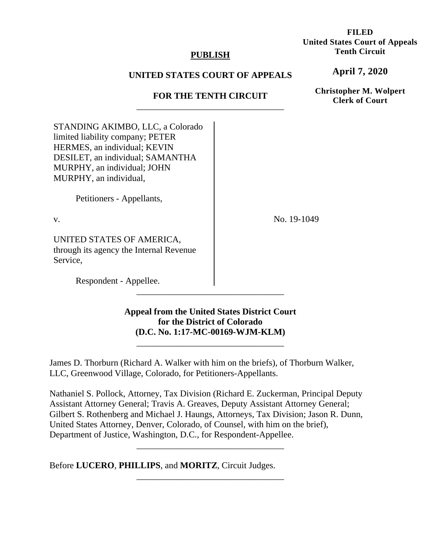## **PUBLISH**

# **UNITED STATES COURT OF APPEALS**

# **FOR THE TENTH CIRCUIT**  \_\_\_\_\_\_\_\_\_\_\_\_\_\_\_\_\_\_\_\_\_\_\_\_\_\_\_\_\_\_\_\_\_

STANDING AKIMBO, LLC, a Colorado limited liability company; PETER HERMES, an individual; KEVIN DESILET, an individual; SAMANTHA MURPHY, an individual; JOHN MURPHY, an individual,

Petitioners - Appellants,

v.

UNITED STATES OF AMERICA, through its agency the Internal Revenue Service,

Respondent - Appellee.

# **Appeal from the United States District Court for the District of Colorado (D.C. No. 1:17-MC-00169-WJM-KLM)**

\_\_\_\_\_\_\_\_\_\_\_\_\_\_\_\_\_\_\_\_\_\_\_\_\_\_\_\_\_\_\_\_\_

\_\_\_\_\_\_\_\_\_\_\_\_\_\_\_\_\_\_\_\_\_\_\_\_\_\_\_\_\_\_\_\_\_

James D. Thorburn (Richard A. Walker with him on the briefs), of Thorburn Walker, LLC, Greenwood Village, Colorado, for Petitioners-Appellants.

Nathaniel S. Pollock, Attorney, Tax Division (Richard E. Zuckerman, Principal Deputy Assistant Attorney General; Travis A. Greaves, Deputy Assistant Attorney General; Gilbert S. Rothenberg and Michael J. Haungs, Attorneys, Tax Division; Jason R. Dunn, United States Attorney, Denver, Colorado, of Counsel, with him on the brief), Department of Justice, Washington, D.C., for Respondent-Appellee.

\_\_\_\_\_\_\_\_\_\_\_\_\_\_\_\_\_\_\_\_\_\_\_\_\_\_\_\_\_\_\_\_\_

\_\_\_\_\_\_\_\_\_\_\_\_\_\_\_\_\_\_\_\_\_\_\_\_\_\_\_\_\_\_\_\_\_

Before **LUCERO**, **PHILLIPS**, and **MORITZ**, Circuit Judges.

**FILED United States Court of Appeals Tenth Circuit** 

**April 7, 2020**

**Christopher M. Wolpert Clerk of Court**

No. 19-1049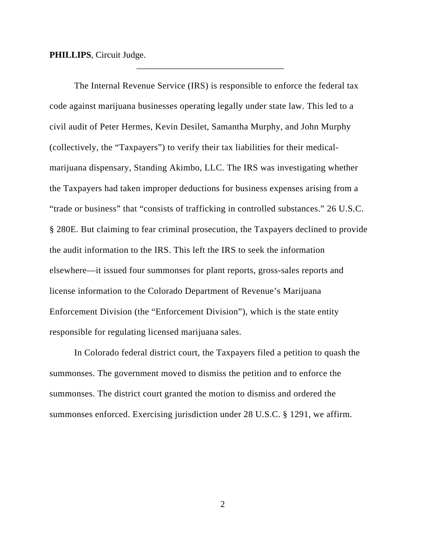**PHILLIPS**, Circuit Judge.

The Internal Revenue Service (IRS) is responsible to enforce the federal tax code against marijuana businesses operating legally under state law. This led to a civil audit of Peter Hermes, Kevin Desilet, Samantha Murphy, and John Murphy (collectively, the "Taxpayers") to verify their tax liabilities for their medicalmarijuana dispensary, Standing Akimbo, LLC. The IRS was investigating whether the Taxpayers had taken improper deductions for business expenses arising from a "trade or business" that "consists of trafficking in controlled substances." 26 U.S.C. § 280E. But claiming to fear criminal prosecution, the Taxpayers declined to provide the audit information to the IRS. This left the IRS to seek the information elsewhere—it issued four summonses for plant reports, gross-sales reports and license information to the Colorado Department of Revenue's Marijuana Enforcement Division (the "Enforcement Division"), which is the state entity responsible for regulating licensed marijuana sales.

\_\_\_\_\_\_\_\_\_\_\_\_\_\_\_\_\_\_\_\_\_\_\_\_\_\_\_\_\_\_\_\_\_

In Colorado federal district court, the Taxpayers filed a petition to quash the summonses. The government moved to dismiss the petition and to enforce the summonses. The district court granted the motion to dismiss and ordered the summonses enforced. Exercising jurisdiction under 28 U.S.C. § 1291, we affirm.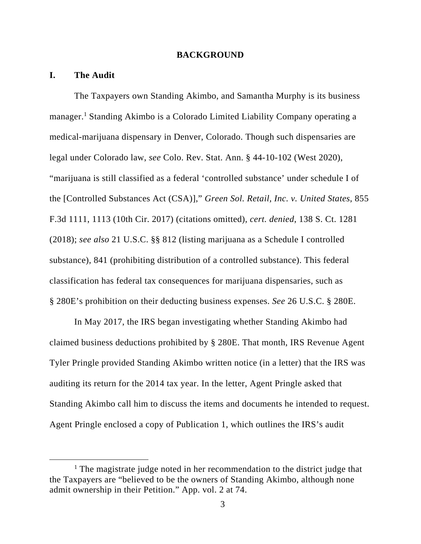### **BACKGROUND**

#### **I. The Audit**

The Taxpayers own Standing Akimbo, and Samantha Murphy is its business manager.<sup>1</sup> Standing Akimbo is a Colorado Limited Liability Company operating a medical-marijuana dispensary in Denver, Colorado. Though such dispensaries are legal under Colorado law, *see* Colo. Rev. Stat. Ann. § 44-10-102 (West 2020), "marijuana is still classified as a federal 'controlled substance' under schedule I of the [Controlled Substances Act (CSA)]," *Green Sol. Retail, Inc. v. United States*, 855 F.3d 1111, 1113 (10th Cir. 2017) (citations omitted), *cert. denied*, 138 S. Ct. 1281 (2018); *see also* 21 U.S.C. §§ 812 (listing marijuana as a Schedule I controlled substance), 841 (prohibiting distribution of a controlled substance). This federal classification has federal tax consequences for marijuana dispensaries, such as § 280E's prohibition on their deducting business expenses. *See* 26 U.S.C. § 280E.

In May 2017, the IRS began investigating whether Standing Akimbo had claimed business deductions prohibited by § 280E. That month, IRS Revenue Agent Tyler Pringle provided Standing Akimbo written notice (in a letter) that the IRS was auditing its return for the 2014 tax year. In the letter, Agent Pringle asked that Standing Akimbo call him to discuss the items and documents he intended to request. Agent Pringle enclosed a copy of Publication 1, which outlines the IRS's audit

<sup>&</sup>lt;u>1</u> <sup>1</sup> The magistrate judge noted in her recommendation to the district judge that the Taxpayers are "believed to be the owners of Standing Akimbo, although none admit ownership in their Petition." App. vol. 2 at 74.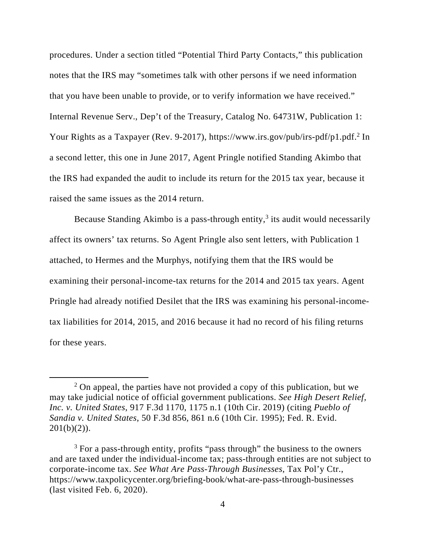procedures. Under a section titled "Potential Third Party Contacts," this publication notes that the IRS may "sometimes talk with other persons if we need information that you have been unable to provide, or to verify information we have received." Internal Revenue Serv., Dep't of the Treasury, Catalog No. 64731W, Publication 1: Your Rights as a Taxpayer (Rev. 9-2017), https://www.irs.gov/pub/irs-pdf/p1.pdf.<sup>2</sup> In a second letter, this one in June 2017, Agent Pringle notified Standing Akimbo that the IRS had expanded the audit to include its return for the 2015 tax year, because it raised the same issues as the 2014 return.

Because Standing Akimbo is a pass-through entity, $3$  its audit would necessarily affect its owners' tax returns. So Agent Pringle also sent letters, with Publication 1 attached, to Hermes and the Murphys, notifying them that the IRS would be examining their personal-income-tax returns for the 2014 and 2015 tax years. Agent Pringle had already notified Desilet that the IRS was examining his personal-incometax liabilities for 2014, 2015, and 2016 because it had no record of his filing returns for these years.

 <sup>2</sup>  $\frac{2}{3}$  On appeal, the parties have not provided a copy of this publication, but we may take judicial notice of official government publications. *See High Desert Relief, Inc. v. United States*, 917 F.3d 1170, 1175 n.1 (10th Cir. 2019) (citing *Pueblo of Sandia v. United States*, 50 F.3d 856, 861 n.6 (10th Cir. 1995); Fed. R. Evid.  $201(b)(2)$ ).

<sup>&</sup>lt;sup>3</sup> For a pass-through entity, profits "pass through" the business to the owners and are taxed under the individual-income tax; pass-through entities are not subject to corporate-income tax. *See What Are Pass-Through Businesses*, Tax Pol'y Ctr., https://www.taxpolicycenter.org/briefing-book/what-are-pass-through-businesses (last visited Feb. 6, 2020).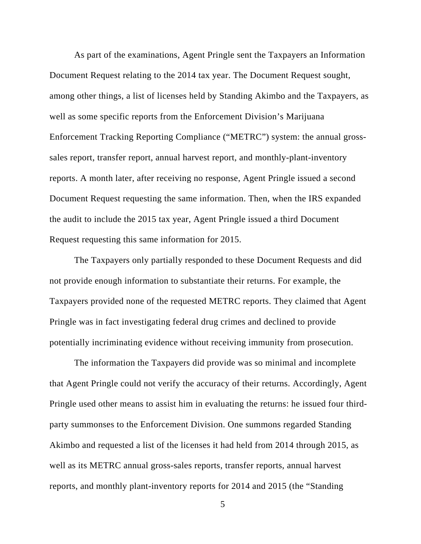As part of the examinations, Agent Pringle sent the Taxpayers an Information Document Request relating to the 2014 tax year. The Document Request sought, among other things, a list of licenses held by Standing Akimbo and the Taxpayers, as well as some specific reports from the Enforcement Division's Marijuana Enforcement Tracking Reporting Compliance ("METRC") system: the annual grosssales report, transfer report, annual harvest report, and monthly-plant-inventory reports. A month later, after receiving no response, Agent Pringle issued a second Document Request requesting the same information. Then, when the IRS expanded the audit to include the 2015 tax year, Agent Pringle issued a third Document Request requesting this same information for 2015.

The Taxpayers only partially responded to these Document Requests and did not provide enough information to substantiate their returns. For example, the Taxpayers provided none of the requested METRC reports. They claimed that Agent Pringle was in fact investigating federal drug crimes and declined to provide potentially incriminating evidence without receiving immunity from prosecution.

The information the Taxpayers did provide was so minimal and incomplete that Agent Pringle could not verify the accuracy of their returns. Accordingly, Agent Pringle used other means to assist him in evaluating the returns: he issued four thirdparty summonses to the Enforcement Division. One summons regarded Standing Akimbo and requested a list of the licenses it had held from 2014 through 2015, as well as its METRC annual gross-sales reports, transfer reports, annual harvest reports, and monthly plant-inventory reports for 2014 and 2015 (the "Standing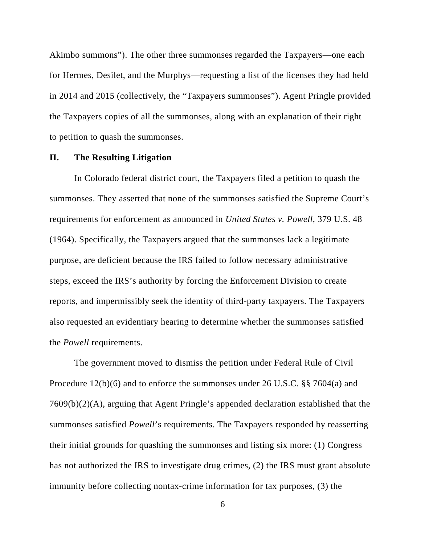Akimbo summons"). The other three summonses regarded the Taxpayers—one each for Hermes, Desilet, and the Murphys—requesting a list of the licenses they had held in 2014 and 2015 (collectively, the "Taxpayers summonses"). Agent Pringle provided the Taxpayers copies of all the summonses, along with an explanation of their right to petition to quash the summonses.

### **II. The Resulting Litigation**

In Colorado federal district court, the Taxpayers filed a petition to quash the summonses. They asserted that none of the summonses satisfied the Supreme Court's requirements for enforcement as announced in *United States v. Powell*, 379 U.S. 48 (1964). Specifically, the Taxpayers argued that the summonses lack a legitimate purpose, are deficient because the IRS failed to follow necessary administrative steps, exceed the IRS's authority by forcing the Enforcement Division to create reports, and impermissibly seek the identity of third-party taxpayers. The Taxpayers also requested an evidentiary hearing to determine whether the summonses satisfied the *Powell* requirements.

The government moved to dismiss the petition under Federal Rule of Civil Procedure 12(b)(6) and to enforce the summonses under 26 U.S.C. §§ 7604(a) and 7609(b)(2)(A), arguing that Agent Pringle's appended declaration established that the summonses satisfied *Powell*'s requirements. The Taxpayers responded by reasserting their initial grounds for quashing the summonses and listing six more: (1) Congress has not authorized the IRS to investigate drug crimes, (2) the IRS must grant absolute immunity before collecting nontax-crime information for tax purposes, (3) the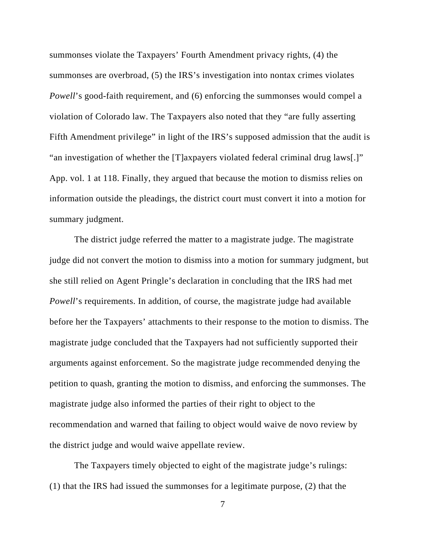summonses violate the Taxpayers' Fourth Amendment privacy rights, (4) the summonses are overbroad, (5) the IRS's investigation into nontax crimes violates *Powell*'s good-faith requirement, and (6) enforcing the summonses would compel a violation of Colorado law. The Taxpayers also noted that they "are fully asserting Fifth Amendment privilege" in light of the IRS's supposed admission that the audit is "an investigation of whether the [T]axpayers violated federal criminal drug laws[.]" App. vol. 1 at 118. Finally, they argued that because the motion to dismiss relies on information outside the pleadings, the district court must convert it into a motion for summary judgment.

The district judge referred the matter to a magistrate judge. The magistrate judge did not convert the motion to dismiss into a motion for summary judgment, but she still relied on Agent Pringle's declaration in concluding that the IRS had met *Powell*'s requirements. In addition, of course, the magistrate judge had available before her the Taxpayers' attachments to their response to the motion to dismiss. The magistrate judge concluded that the Taxpayers had not sufficiently supported their arguments against enforcement. So the magistrate judge recommended denying the petition to quash, granting the motion to dismiss, and enforcing the summonses. The magistrate judge also informed the parties of their right to object to the recommendation and warned that failing to object would waive de novo review by the district judge and would waive appellate review.

The Taxpayers timely objected to eight of the magistrate judge's rulings: (1) that the IRS had issued the summonses for a legitimate purpose, (2) that the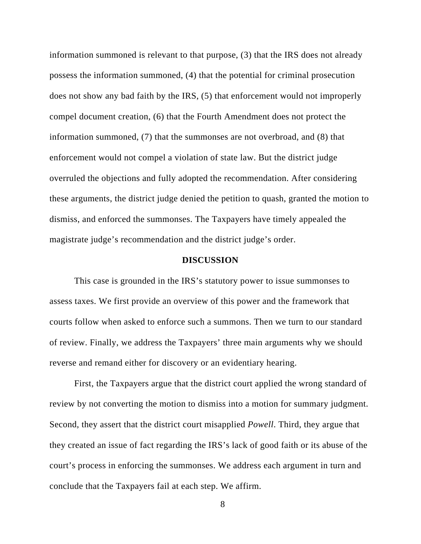information summoned is relevant to that purpose, (3) that the IRS does not already possess the information summoned, (4) that the potential for criminal prosecution does not show any bad faith by the IRS, (5) that enforcement would not improperly compel document creation, (6) that the Fourth Amendment does not protect the information summoned, (7) that the summonses are not overbroad, and (8) that enforcement would not compel a violation of state law. But the district judge overruled the objections and fully adopted the recommendation. After considering these arguments, the district judge denied the petition to quash, granted the motion to dismiss, and enforced the summonses. The Taxpayers have timely appealed the magistrate judge's recommendation and the district judge's order.

### **DISCUSSION**

This case is grounded in the IRS's statutory power to issue summonses to assess taxes. We first provide an overview of this power and the framework that courts follow when asked to enforce such a summons. Then we turn to our standard of review. Finally, we address the Taxpayers' three main arguments why we should reverse and remand either for discovery or an evidentiary hearing.

First, the Taxpayers argue that the district court applied the wrong standard of review by not converting the motion to dismiss into a motion for summary judgment. Second, they assert that the district court misapplied *Powell*. Third, they argue that they created an issue of fact regarding the IRS's lack of good faith or its abuse of the court's process in enforcing the summonses. We address each argument in turn and conclude that the Taxpayers fail at each step. We affirm.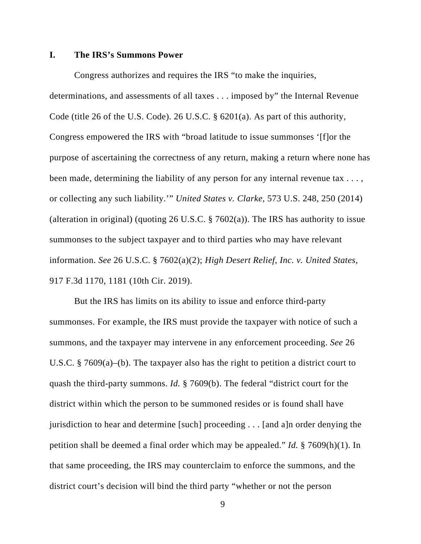### **I. The IRS's Summons Power**

Congress authorizes and requires the IRS "to make the inquiries, determinations, and assessments of all taxes . . . imposed by" the Internal Revenue Code (title 26 of the U.S. Code). 26 U.S.C. § 6201(a). As part of this authority, Congress empowered the IRS with "broad latitude to issue summonses '[f]or the purpose of ascertaining the correctness of any return, making a return where none has been made, determining the liability of any person for any internal revenue tax . . . , or collecting any such liability.'" *United States v. Clarke*, 573 U.S. 248, 250 (2014) (alteration in original) (quoting 26 U.S.C.  $\S$  7602(a)). The IRS has authority to issue summonses to the subject taxpayer and to third parties who may have relevant information. *See* 26 U.S.C. § 7602(a)(2); *High Desert Relief, Inc. v. United States*, 917 F.3d 1170, 1181 (10th Cir. 2019).

But the IRS has limits on its ability to issue and enforce third-party summonses. For example, the IRS must provide the taxpayer with notice of such a summons, and the taxpayer may intervene in any enforcement proceeding. *See* 26 U.S.C. § 7609(a)–(b). The taxpayer also has the right to petition a district court to quash the third-party summons. *Id.* § 7609(b). The federal "district court for the district within which the person to be summoned resides or is found shall have jurisdiction to hear and determine [such] proceeding . . . [and a]n order denying the petition shall be deemed a final order which may be appealed." *Id.* § 7609(h)(1). In that same proceeding, the IRS may counterclaim to enforce the summons, and the district court's decision will bind the third party "whether or not the person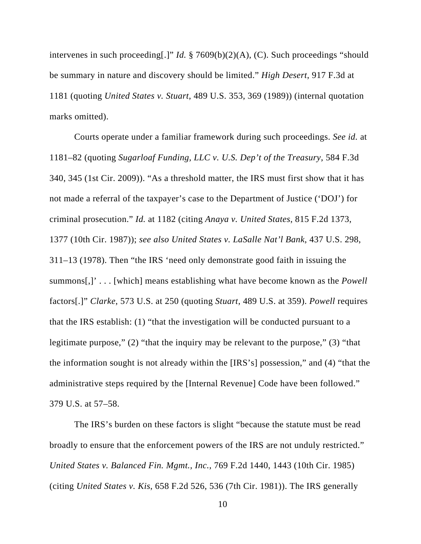intervenes in such proceeding[.]" *Id.* § 7609(b)(2)(A), (C). Such proceedings "should be summary in nature and discovery should be limited." *High Desert*, 917 F.3d at 1181 (quoting *United States v. Stuart*, 489 U.S. 353, 369 (1989)) (internal quotation marks omitted).

Courts operate under a familiar framework during such proceedings. *See id.* at 1181–82 (quoting *Sugarloaf Funding, LLC v. U.S. Dep't of the Treasury*, 584 F.3d 340, 345 (1st Cir. 2009)). "As a threshold matter, the IRS must first show that it has not made a referral of the taxpayer's case to the Department of Justice ('DOJ') for criminal prosecution." *Id.* at 1182 (citing *Anaya v. United States*, 815 F.2d 1373, 1377 (10th Cir. 1987)); *see also United States v. LaSalle Nat'l Bank*, 437 U.S. 298, 311–13 (1978). Then "the IRS 'need only demonstrate good faith in issuing the summons[,]' . . . [which] means establishing what have become known as the *Powell*  factors[.]" *Clarke*, 573 U.S. at 250 (quoting *Stuart*, 489 U.S. at 359). *Powell* requires that the IRS establish: (1) "that the investigation will be conducted pursuant to a legitimate purpose," (2) "that the inquiry may be relevant to the purpose," (3) "that the information sought is not already within the [IRS's] possession," and (4) "that the administrative steps required by the [Internal Revenue] Code have been followed." 379 U.S. at 57–58.

The IRS's burden on these factors is slight "because the statute must be read broadly to ensure that the enforcement powers of the IRS are not unduly restricted." *United States v. Balanced Fin. Mgmt., Inc.*, 769 F.2d 1440, 1443 (10th Cir. 1985) (citing *United States v. Kis*, 658 F.2d 526, 536 (7th Cir. 1981)). The IRS generally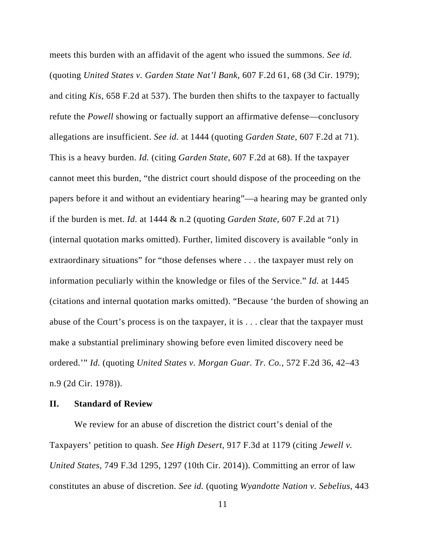meets this burden with an affidavit of the agent who issued the summons. *See id.* (quoting *United States v. Garden State Nat'l Bank*, 607 F.2d 61, 68 (3d Cir. 1979); and citing *Kis*, 658 F.2d at 537). The burden then shifts to the taxpayer to factually refute the *Powell* showing or factually support an affirmative defense—conclusory allegations are insufficient. *See id.* at 1444 (quoting *Garden State*, 607 F.2d at 71). This is a heavy burden. *Id.* (citing *Garden State*, 607 F.2d at 68). If the taxpayer cannot meet this burden, "the district court should dispose of the proceeding on the papers before it and without an evidentiary hearing"—a hearing may be granted only if the burden is met. *Id.* at 1444 & n.2 (quoting *Garden State*, 607 F.2d at 71) (internal quotation marks omitted). Further, limited discovery is available "only in extraordinary situations" for "those defenses where . . . the taxpayer must rely on information peculiarly within the knowledge or files of the Service." *Id.* at 1445 (citations and internal quotation marks omitted). "Because 'the burden of showing an abuse of the Court's process is on the taxpayer, it is . . . clear that the taxpayer must make a substantial preliminary showing before even limited discovery need be ordered.'" *Id.* (quoting *United States v. Morgan Guar. Tr. Co.*, 572 F.2d 36, 42–43 n.9 (2d Cir. 1978)).

### **II. Standard of Review**

We review for an abuse of discretion the district court's denial of the Taxpayers' petition to quash. *See High Desert*, 917 F.3d at 1179 (citing *Jewell v. United States*, 749 F.3d 1295, 1297 (10th Cir. 2014)). Committing an error of law constitutes an abuse of discretion. *See id.* (quoting *Wyandotte Nation v. Sebelius*, 443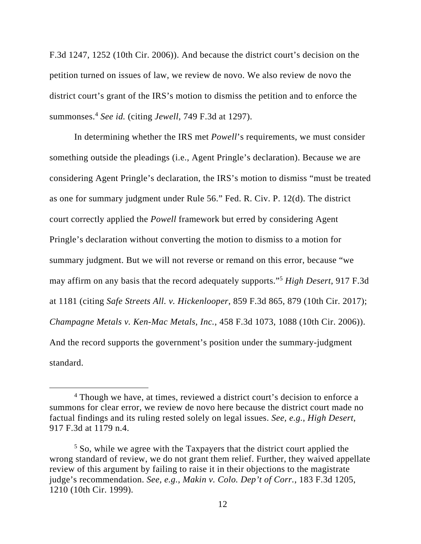F.3d 1247, 1252 (10th Cir. 2006)). And because the district court's decision on the petition turned on issues of law, we review de novo. We also review de novo the district court's grant of the IRS's motion to dismiss the petition and to enforce the summonses.4 *See id.* (citing *Jewell*, 749 F.3d at 1297).

In determining whether the IRS met *Powell*'s requirements, we must consider something outside the pleadings (i.e., Agent Pringle's declaration). Because we are considering Agent Pringle's declaration, the IRS's motion to dismiss "must be treated as one for summary judgment under Rule 56." Fed. R. Civ. P. 12(d). The district court correctly applied the *Powell* framework but erred by considering Agent Pringle's declaration without converting the motion to dismiss to a motion for summary judgment. But we will not reverse or remand on this error, because "we may affirm on any basis that the record adequately supports."5 *High Desert*, 917 F.3d at 1181 (citing *Safe Streets All. v. Hickenlooper*, 859 F.3d 865, 879 (10th Cir. 2017); *Champagne Metals v. Ken-Mac Metals, Inc.*, 458 F.3d 1073, 1088 (10th Cir. 2006)). And the record supports the government's position under the summary-judgment standard.

 $\overline{4}$ <sup>4</sup> Though we have, at times, reviewed a district court's decision to enforce a summons for clear error, we review de novo here because the district court made no factual findings and its ruling rested solely on legal issues. *See, e.g.*, *High Desert*, 917 F.3d at 1179 n.4.

<sup>&</sup>lt;sup>5</sup> So, while we agree with the Taxpayers that the district court applied the wrong standard of review, we do not grant them relief. Further, they waived appellate review of this argument by failing to raise it in their objections to the magistrate judge's recommendation. *See, e.g.*, *Makin v. Colo. Dep't of Corr.*, 183 F.3d 1205, 1210 (10th Cir. 1999).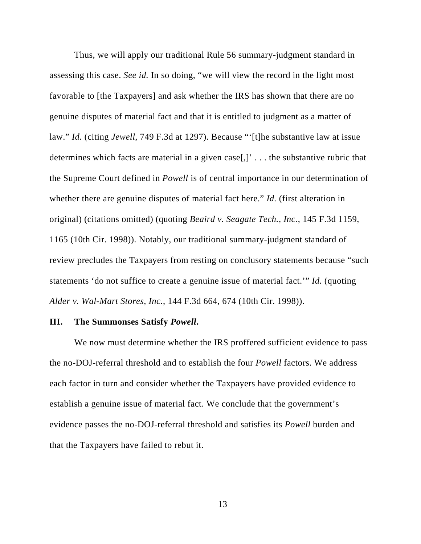Thus, we will apply our traditional Rule 56 summary-judgment standard in assessing this case. *See id.* In so doing, "we will view the record in the light most favorable to [the Taxpayers] and ask whether the IRS has shown that there are no genuine disputes of material fact and that it is entitled to judgment as a matter of law." *Id.* (citing *Jewell*, 749 F.3d at 1297). Because "'[t]he substantive law at issue determines which facts are material in a given case[,]' . . . the substantive rubric that the Supreme Court defined in *Powell* is of central importance in our determination of whether there are genuine disputes of material fact here." *Id.* (first alteration in original) (citations omitted) (quoting *Beaird v. Seagate Tech., Inc.*, 145 F.3d 1159, 1165 (10th Cir. 1998)). Notably, our traditional summary-judgment standard of review precludes the Taxpayers from resting on conclusory statements because "such statements 'do not suffice to create a genuine issue of material fact.'" *Id.* (quoting *Alder v. Wal-Mart Stores, Inc.*, 144 F.3d 664, 674 (10th Cir. 1998)).

#### **III. The Summonses Satisfy** *Powell***.**

We now must determine whether the IRS proffered sufficient evidence to pass the no-DOJ-referral threshold and to establish the four *Powell* factors. We address each factor in turn and consider whether the Taxpayers have provided evidence to establish a genuine issue of material fact. We conclude that the government's evidence passes the no-DOJ-referral threshold and satisfies its *Powell* burden and that the Taxpayers have failed to rebut it.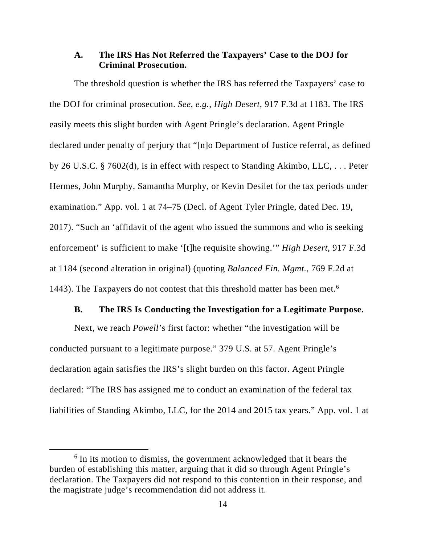## **A. The IRS Has Not Referred the Taxpayers' Case to the DOJ for Criminal Prosecution.**

The threshold question is whether the IRS has referred the Taxpayers' case to the DOJ for criminal prosecution. *See, e.g.*, *High Desert*, 917 F.3d at 1183. The IRS easily meets this slight burden with Agent Pringle's declaration. Agent Pringle declared under penalty of perjury that "[n]o Department of Justice referral, as defined by 26 U.S.C. § 7602(d), is in effect with respect to Standing Akimbo, LLC, . . . Peter Hermes, John Murphy, Samantha Murphy, or Kevin Desilet for the tax periods under examination." App. vol. 1 at 74–75 (Decl. of Agent Tyler Pringle, dated Dec. 19, 2017). "Such an 'affidavit of the agent who issued the summons and who is seeking enforcement' is sufficient to make '[t]he requisite showing.'" *High Desert*, 917 F.3d at 1184 (second alteration in original) (quoting *Balanced Fin. Mgmt.*, 769 F.2d at 1443). The Taxpayers do not contest that this threshold matter has been met.<sup>6</sup>

#### **B. The IRS Is Conducting the Investigation for a Legitimate Purpose.**

Next, we reach *Powell*'s first factor: whether "the investigation will be conducted pursuant to a legitimate purpose." 379 U.S. at 57. Agent Pringle's declaration again satisfies the IRS's slight burden on this factor. Agent Pringle declared: "The IRS has assigned me to conduct an examination of the federal tax liabilities of Standing Akimbo, LLC, for the 2014 and 2015 tax years." App. vol. 1 at

 $\begin{array}{c|c}\n\hline\n\text{6}\n\end{array}$  $6$  In its motion to dismiss, the government acknowledged that it bears the burden of establishing this matter, arguing that it did so through Agent Pringle's declaration. The Taxpayers did not respond to this contention in their response, and the magistrate judge's recommendation did not address it.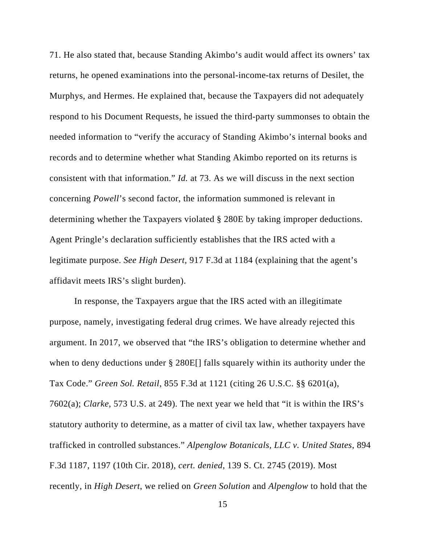71. He also stated that, because Standing Akimbo's audit would affect its owners' tax returns, he opened examinations into the personal-income-tax returns of Desilet, the Murphys, and Hermes. He explained that, because the Taxpayers did not adequately respond to his Document Requests, he issued the third-party summonses to obtain the needed information to "verify the accuracy of Standing Akimbo's internal books and records and to determine whether what Standing Akimbo reported on its returns is consistent with that information." *Id.* at 73. As we will discuss in the next section concerning *Powell*'s second factor, the information summoned is relevant in determining whether the Taxpayers violated § 280E by taking improper deductions. Agent Pringle's declaration sufficiently establishes that the IRS acted with a legitimate purpose. *See High Desert*, 917 F.3d at 1184 (explaining that the agent's affidavit meets IRS's slight burden).

In response, the Taxpayers argue that the IRS acted with an illegitimate purpose, namely, investigating federal drug crimes. We have already rejected this argument. In 2017, we observed that "the IRS's obligation to determine whether and when to deny deductions under § 280E[] falls squarely within its authority under the Tax Code." *Green Sol. Retail*, 855 F.3d at 1121 (citing 26 U.S.C. §§ 6201(a), 7602(a); *Clarke*, 573 U.S. at 249). The next year we held that "it is within the IRS's statutory authority to determine, as a matter of civil tax law, whether taxpayers have trafficked in controlled substances." *Alpenglow Botanicals, LLC v. United States*, 894 F.3d 1187, 1197 (10th Cir. 2018), *cert. denied*, 139 S. Ct. 2745 (2019). Most recently, in *High Desert*, we relied on *Green Solution* and *Alpenglow* to hold that the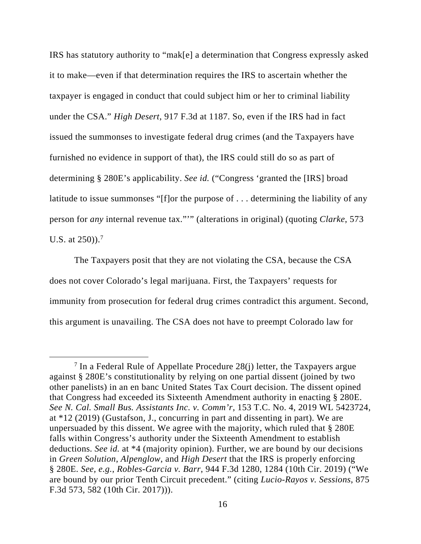IRS has statutory authority to "mak[e] a determination that Congress expressly asked it to make—even if that determination requires the IRS to ascertain whether the taxpayer is engaged in conduct that could subject him or her to criminal liability under the CSA." *High Desert*, 917 F.3d at 1187. So, even if the IRS had in fact issued the summonses to investigate federal drug crimes (and the Taxpayers have furnished no evidence in support of that), the IRS could still do so as part of determining § 280E's applicability. *See id.* ("Congress 'granted the [IRS] broad latitude to issue summonses "[f]or the purpose of ... determining the liability of any person for *any* internal revenue tax."'" (alterations in original) (quoting *Clarke*, 573 U.S. at  $250$ )).<sup>7</sup>

The Taxpayers posit that they are not violating the CSA, because the CSA does not cover Colorado's legal marijuana. First, the Taxpayers' requests for immunity from prosecution for federal drug crimes contradict this argument. Second, this argument is unavailing. The CSA does not have to preempt Colorado law for

 <sup>7</sup> <sup>7</sup> In a Federal Rule of Appellate Procedure 28(j) letter, the Taxpayers argue against § 280E's constitutionality by relying on one partial dissent (joined by two other panelists) in an en banc United States Tax Court decision. The dissent opined that Congress had exceeded its Sixteenth Amendment authority in enacting § 280E. *See N. Cal. Small Bus. Assistants Inc. v. Comm'r*, 153 T.C. No. 4, 2019 WL 5423724, at \*12 (2019) (Gustafson, J., concurring in part and dissenting in part). We are unpersuaded by this dissent. We agree with the majority, which ruled that § 280E falls within Congress's authority under the Sixteenth Amendment to establish deductions. *See id.* at \*4 (majority opinion). Further, we are bound by our decisions in *Green Solution*, *Alpenglow*, and *High Desert* that the IRS is properly enforcing § 280E. *See, e.g.*, *Robles-Garcia v. Barr*, 944 F.3d 1280, 1284 (10th Cir. 2019) ("We are bound by our prior Tenth Circuit precedent." (citing *Lucio-Rayos v. Sessions*, 875 F.3d 573, 582 (10th Cir. 2017))).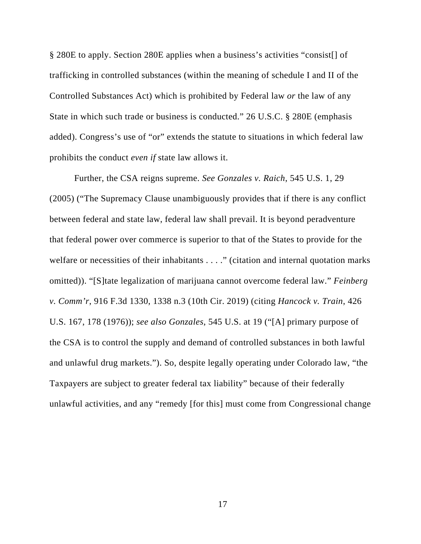§ 280E to apply. Section 280E applies when a business's activities "consist[] of trafficking in controlled substances (within the meaning of schedule I and II of the Controlled Substances Act) which is prohibited by Federal law *or* the law of any State in which such trade or business is conducted." 26 U.S.C. § 280E (emphasis added). Congress's use of "or" extends the statute to situations in which federal law prohibits the conduct *even if* state law allows it.

Further, the CSA reigns supreme. *See Gonzales v. Raich*, 545 U.S. 1, 29 (2005) ("The Supremacy Clause unambiguously provides that if there is any conflict between federal and state law, federal law shall prevail. It is beyond peradventure that federal power over commerce is superior to that of the States to provide for the welfare or necessities of their inhabitants . . . ." (citation and internal quotation marks omitted)). "[S]tate legalization of marijuana cannot overcome federal law." *Feinberg v. Comm'r*, 916 F.3d 1330, 1338 n.3 (10th Cir. 2019) (citing *Hancock v. Train*, 426 U.S. 167, 178 (1976)); *see also Gonzales*, 545 U.S. at 19 ("[A] primary purpose of the CSA is to control the supply and demand of controlled substances in both lawful and unlawful drug markets."). So, despite legally operating under Colorado law, "the Taxpayers are subject to greater federal tax liability" because of their federally unlawful activities, and any "remedy [for this] must come from Congressional change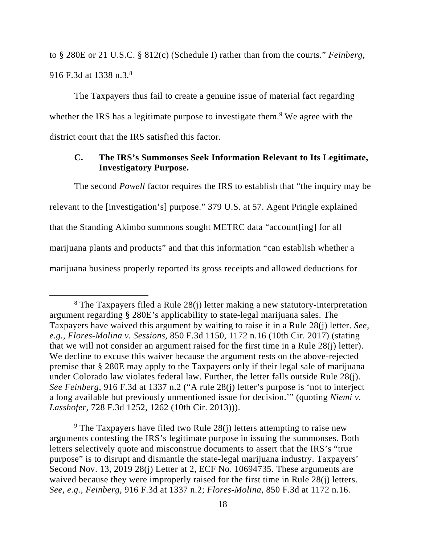to § 280E or 21 U.S.C. § 812(c) (Schedule I) rather than from the courts." *Feinberg*, 916 F.3d at 1338 n.3*.* 8

The Taxpayers thus fail to create a genuine issue of material fact regarding whether the IRS has a legitimate purpose to investigate them.<sup>9</sup> We agree with the district court that the IRS satisfied this factor.

# **C. The IRS's Summonses Seek Information Relevant to Its Legitimate, Investigatory Purpose.**

The second *Powell* factor requires the IRS to establish that "the inquiry may be relevant to the [investigation's] purpose." 379 U.S. at 57. Agent Pringle explained that the Standing Akimbo summons sought METRC data "account[ing] for all marijuana plants and products" and that this information "can establish whether a marijuana business properly reported its gross receipts and allowed deductions for

<sup>9</sup> The Taxpayers have filed two Rule  $28(j)$  letters attempting to raise new arguments contesting the IRS's legitimate purpose in issuing the summonses. Both letters selectively quote and misconstrue documents to assert that the IRS's "true purpose" is to disrupt and dismantle the state-legal marijuana industry. Taxpayers' Second Nov. 13, 2019 28(j) Letter at 2, ECF No. 10694735. These arguments are waived because they were improperly raised for the first time in Rule 28(j) letters. *See, e.g.*, *Feinberg*, 916 F.3d at 1337 n.2; *Flores-Molina*, 850 F.3d at 1172 n.16.

 <sup>8</sup> The Taxpayers filed a Rule 28(j) letter making a new statutory-interpretation argument regarding § 280E's applicability to state-legal marijuana sales. The Taxpayers have waived this argument by waiting to raise it in a Rule 28(j) letter. *See, e.g.*, *Flores-Molina v. Sessions*, 850 F.3d 1150, 1172 n.16 (10th Cir. 2017) (stating that we will not consider an argument raised for the first time in a Rule 28(j) letter). We decline to excuse this waiver because the argument rests on the above-rejected premise that § 280E may apply to the Taxpayers only if their legal sale of marijuana under Colorado law violates federal law. Further, the letter falls outside Rule 28(j). *See Feinberg*, 916 F.3d at 1337 n.2 ("A rule 28(j) letter's purpose is 'not to interject a long available but previously unmentioned issue for decision.'" (quoting *Niemi v. Lasshofer*, 728 F.3d 1252, 1262 (10th Cir. 2013))).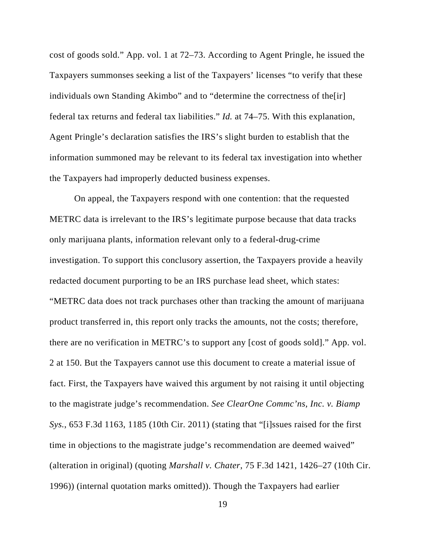cost of goods sold." App. vol. 1 at 72–73. According to Agent Pringle, he issued the Taxpayers summonses seeking a list of the Taxpayers' licenses "to verify that these individuals own Standing Akimbo" and to "determine the correctness of the[ir] federal tax returns and federal tax liabilities." *Id.* at 74–75. With this explanation, Agent Pringle's declaration satisfies the IRS's slight burden to establish that the information summoned may be relevant to its federal tax investigation into whether the Taxpayers had improperly deducted business expenses.

On appeal, the Taxpayers respond with one contention: that the requested METRC data is irrelevant to the IRS's legitimate purpose because that data tracks only marijuana plants, information relevant only to a federal-drug-crime investigation. To support this conclusory assertion, the Taxpayers provide a heavily redacted document purporting to be an IRS purchase lead sheet, which states: "METRC data does not track purchases other than tracking the amount of marijuana product transferred in, this report only tracks the amounts, not the costs; therefore, there are no verification in METRC's to support any [cost of goods sold]." App. vol. 2 at 150. But the Taxpayers cannot use this document to create a material issue of fact. First, the Taxpayers have waived this argument by not raising it until objecting to the magistrate judge's recommendation. *See ClearOne Commc'ns, Inc. v. Biamp Sys.*, 653 F.3d 1163, 1185 (10th Cir. 2011) (stating that "[i]ssues raised for the first time in objections to the magistrate judge's recommendation are deemed waived" (alteration in original) (quoting *Marshall v. Chater*, 75 F.3d 1421, 1426–27 (10th Cir. 1996)) (internal quotation marks omitted)). Though the Taxpayers had earlier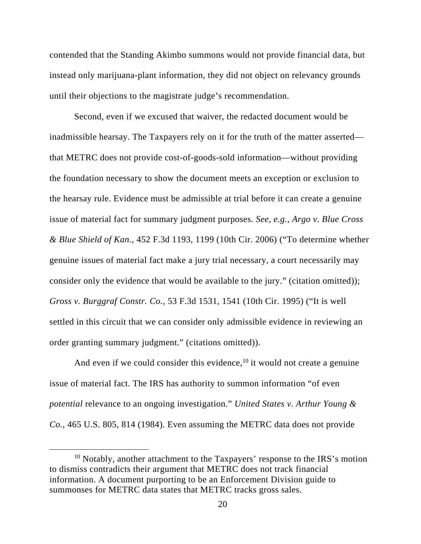contended that the Standing Akimbo summons would not provide financial data, but instead only marijuana-plant information, they did not object on relevancy grounds until their objections to the magistrate judge's recommendation.

Second, even if we excused that waiver, the redacted document would be inadmissible hearsay. The Taxpayers rely on it for the truth of the matter asserted that METRC does not provide cost-of-goods-sold information—without providing the foundation necessary to show the document meets an exception or exclusion to the hearsay rule. Evidence must be admissible at trial before it can create a genuine issue of material fact for summary judgment purposes. *See, e.g.*, *Argo v. Blue Cross & Blue Shield of Kan.*, 452 F.3d 1193, 1199 (10th Cir. 2006) ("To determine whether genuine issues of material fact make a jury trial necessary, a court necessarily may consider only the evidence that would be available to the jury." (citation omitted)); *Gross v. Burggraf Constr. Co.*, 53 F.3d 1531, 1541 (10th Cir. 1995) ("It is well settled in this circuit that we can consider only admissible evidence in reviewing an order granting summary judgment." (citations omitted)).

And even if we could consider this evidence,  $10$  it would not create a genuine issue of material fact. The IRS has authority to summon information "of even *potential* relevance to an ongoing investigation." *United States v. Arthur Young & Co.*, 465 U.S. 805, 814 (1984). Even assuming the METRC data does not provide

 $10$  Notably, another attachment to the Taxpayers' response to the IRS's motion to dismiss contradicts their argument that METRC does not track financial information. A document purporting to be an Enforcement Division guide to summonses for METRC data states that METRC tracks gross sales.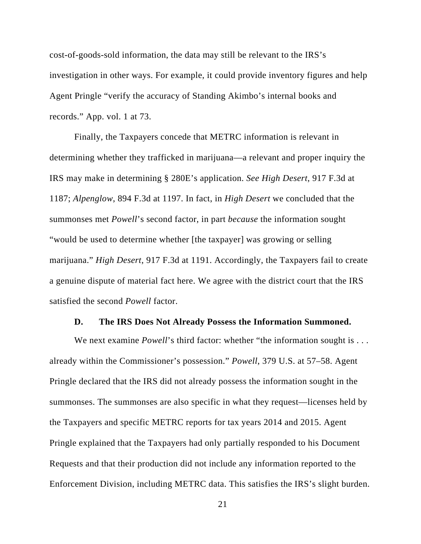cost-of-goods-sold information, the data may still be relevant to the IRS's investigation in other ways. For example, it could provide inventory figures and help Agent Pringle "verify the accuracy of Standing Akimbo's internal books and records." App. vol. 1 at 73.

Finally, the Taxpayers concede that METRC information is relevant in determining whether they trafficked in marijuana—a relevant and proper inquiry the IRS may make in determining § 280E's application. *See High Desert*, 917 F.3d at 1187; *Alpenglow*, 894 F.3d at 1197. In fact, in *High Desert* we concluded that the summonses met *Powell*'s second factor, in part *because* the information sought "would be used to determine whether [the taxpayer] was growing or selling marijuana." *High Desert*, 917 F.3d at 1191. Accordingly, the Taxpayers fail to create a genuine dispute of material fact here. We agree with the district court that the IRS satisfied the second *Powell* factor.

#### **D. The IRS Does Not Already Possess the Information Summoned.**

We next examine *Powell*'s third factor: whether "the information sought is . . . already within the Commissioner's possession." *Powell*, 379 U.S. at 57–58. Agent Pringle declared that the IRS did not already possess the information sought in the summonses. The summonses are also specific in what they request—licenses held by the Taxpayers and specific METRC reports for tax years 2014 and 2015. Agent Pringle explained that the Taxpayers had only partially responded to his Document Requests and that their production did not include any information reported to the Enforcement Division, including METRC data. This satisfies the IRS's slight burden.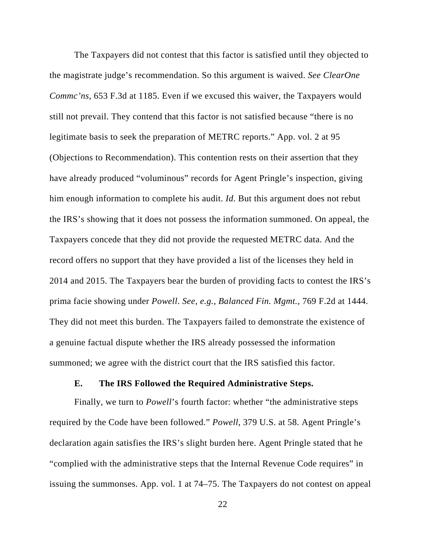The Taxpayers did not contest that this factor is satisfied until they objected to the magistrate judge's recommendation. So this argument is waived. *See ClearOne Commc'ns*, 653 F.3d at 1185. Even if we excused this waiver, the Taxpayers would still not prevail. They contend that this factor is not satisfied because "there is no legitimate basis to seek the preparation of METRC reports." App. vol. 2 at 95 (Objections to Recommendation). This contention rests on their assertion that they have already produced "voluminous" records for Agent Pringle's inspection, giving him enough information to complete his audit. *Id.* But this argument does not rebut the IRS's showing that it does not possess the information summoned. On appeal, the Taxpayers concede that they did not provide the requested METRC data. And the record offers no support that they have provided a list of the licenses they held in 2014 and 2015. The Taxpayers bear the burden of providing facts to contest the IRS's prima facie showing under *Powell*. *See, e.g.*, *Balanced Fin. Mgmt.*, 769 F.2d at 1444. They did not meet this burden. The Taxpayers failed to demonstrate the existence of a genuine factual dispute whether the IRS already possessed the information summoned; we agree with the district court that the IRS satisfied this factor.

## **E. The IRS Followed the Required Administrative Steps.**

Finally, we turn to *Powell*'s fourth factor: whether "the administrative steps required by the Code have been followed." *Powell*, 379 U.S. at 58. Agent Pringle's declaration again satisfies the IRS's slight burden here. Agent Pringle stated that he "complied with the administrative steps that the Internal Revenue Code requires" in issuing the summonses. App. vol. 1 at 74–75. The Taxpayers do not contest on appeal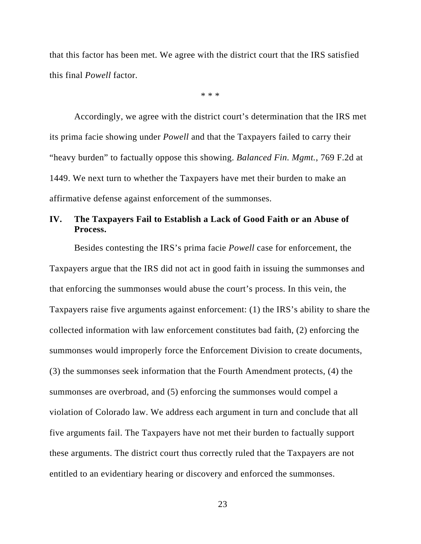that this factor has been met. We agree with the district court that the IRS satisfied this final *Powell* factor.

\* \* \*

Accordingly, we agree with the district court's determination that the IRS met its prima facie showing under *Powell* and that the Taxpayers failed to carry their "heavy burden" to factually oppose this showing. *Balanced Fin. Mgmt.*, 769 F.2d at 1449. We next turn to whether the Taxpayers have met their burden to make an affirmative defense against enforcement of the summonses.

# **IV. The Taxpayers Fail to Establish a Lack of Good Faith or an Abuse of Process.**

Besides contesting the IRS's prima facie *Powell* case for enforcement, the Taxpayers argue that the IRS did not act in good faith in issuing the summonses and that enforcing the summonses would abuse the court's process. In this vein, the Taxpayers raise five arguments against enforcement: (1) the IRS's ability to share the collected information with law enforcement constitutes bad faith, (2) enforcing the summonses would improperly force the Enforcement Division to create documents, (3) the summonses seek information that the Fourth Amendment protects, (4) the summonses are overbroad, and (5) enforcing the summonses would compel a violation of Colorado law. We address each argument in turn and conclude that all five arguments fail. The Taxpayers have not met their burden to factually support these arguments. The district court thus correctly ruled that the Taxpayers are not entitled to an evidentiary hearing or discovery and enforced the summonses.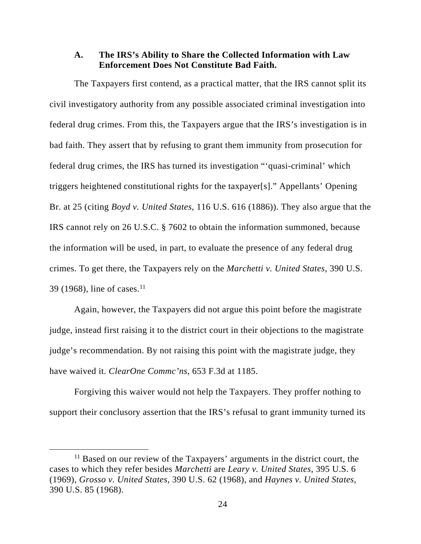## **A. The IRS's Ability to Share the Collected Information with Law Enforcement Does Not Constitute Bad Faith.**

The Taxpayers first contend, as a practical matter, that the IRS cannot split its civil investigatory authority from any possible associated criminal investigation into federal drug crimes. From this, the Taxpayers argue that the IRS's investigation is in bad faith. They assert that by refusing to grant them immunity from prosecution for federal drug crimes, the IRS has turned its investigation "'quasi-criminal' which triggers heightened constitutional rights for the taxpayer[s]." Appellants' Opening Br. at 25 (citing *Boyd v. United States*, 116 U.S. 616 (1886)). They also argue that the IRS cannot rely on 26 U.S.C. § 7602 to obtain the information summoned, because the information will be used, in part, to evaluate the presence of any federal drug crimes. To get there, the Taxpayers rely on the *Marchetti v. United States*, 390 U.S. 39 (1968), line of cases.<sup>11</sup>

Again, however, the Taxpayers did not argue this point before the magistrate judge, instead first raising it to the district court in their objections to the magistrate judge's recommendation. By not raising this point with the magistrate judge, they have waived it. *ClearOne Commc'ns*, 653 F.3d at 1185.

Forgiving this waiver would not help the Taxpayers. They proffer nothing to support their conclusory assertion that the IRS's refusal to grant immunity turned its

 $11$  Based on our review of the Taxpayers' arguments in the district court, the cases to which they refer besides *Marchetti* are *Leary v. United States*, 395 U.S. 6 (1969), *Grosso v. United States*, 390 U.S. 62 (1968), and *Haynes v. United States*, 390 U.S. 85 (1968).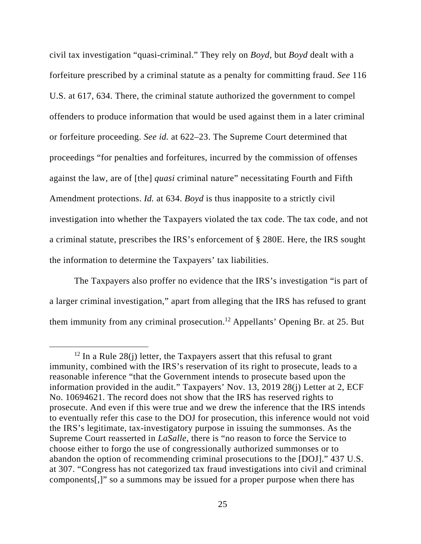civil tax investigation "quasi-criminal." They rely on *Boyd*, but *Boyd* dealt with a forfeiture prescribed by a criminal statute as a penalty for committing fraud. *See* 116 U.S. at 617, 634. There, the criminal statute authorized the government to compel offenders to produce information that would be used against them in a later criminal or forfeiture proceeding. *See id.* at 622–23. The Supreme Court determined that proceedings "for penalties and forfeitures, incurred by the commission of offenses against the law, are of [the] *quasi* criminal nature" necessitating Fourth and Fifth Amendment protections. *Id.* at 634. *Boyd* is thus inapposite to a strictly civil investigation into whether the Taxpayers violated the tax code. The tax code, and not a criminal statute, prescribes the IRS's enforcement of § 280E. Here, the IRS sought the information to determine the Taxpayers' tax liabilities.

The Taxpayers also proffer no evidence that the IRS's investigation "is part of a larger criminal investigation," apart from alleging that the IRS has refused to grant them immunity from any criminal prosecution.12 Appellants' Opening Br. at 25. But

<sup>&</sup>lt;sup>12</sup> In a Rule 28(j) letter, the Taxpayers assert that this refusal to grant immunity, combined with the IRS's reservation of its right to prosecute, leads to a reasonable inference "that the Government intends to prosecute based upon the information provided in the audit." Taxpayers' Nov. 13, 2019 28(j) Letter at 2, ECF No. 10694621. The record does not show that the IRS has reserved rights to prosecute. And even if this were true and we drew the inference that the IRS intends to eventually refer this case to the DOJ for prosecution, this inference would not void the IRS's legitimate, tax-investigatory purpose in issuing the summonses. As the Supreme Court reasserted in *LaSalle*, there is "no reason to force the Service to choose either to forgo the use of congressionally authorized summonses or to abandon the option of recommending criminal prosecutions to the [DOJ]." 437 U.S. at 307. "Congress has not categorized tax fraud investigations into civil and criminal components[,]" so a summons may be issued for a proper purpose when there has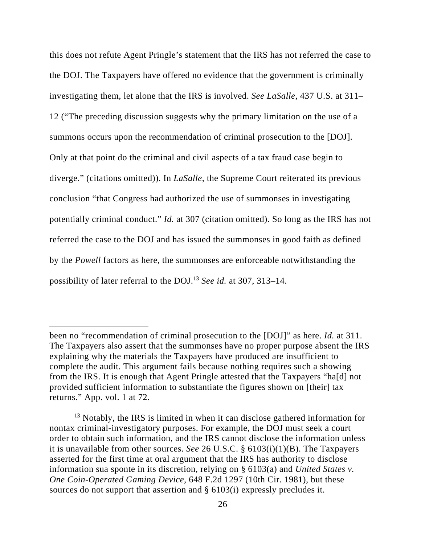this does not refute Agent Pringle's statement that the IRS has not referred the case to the DOJ. The Taxpayers have offered no evidence that the government is criminally investigating them, let alone that the IRS is involved. *See LaSalle*, 437 U.S. at 311– 12 ("The preceding discussion suggests why the primary limitation on the use of a summons occurs upon the recommendation of criminal prosecution to the [DOJ]. Only at that point do the criminal and civil aspects of a tax fraud case begin to diverge." (citations omitted)). In *LaSalle*, the Supreme Court reiterated its previous conclusion "that Congress had authorized the use of summonses in investigating potentially criminal conduct." *Id.* at 307 (citation omitted). So long as the IRS has not referred the case to the DOJ and has issued the summonses in good faith as defined by the *Powell* factors as here, the summonses are enforceable notwithstanding the possibility of later referral to the DOJ.13 *See id.* at 307, 313–14.

 $\overline{a}$ 

been no "recommendation of criminal prosecution to the [DOJ]" as here. *Id.* at 311. The Taxpayers also assert that the summonses have no proper purpose absent the IRS explaining why the materials the Taxpayers have produced are insufficient to complete the audit. This argument fails because nothing requires such a showing from the IRS. It is enough that Agent Pringle attested that the Taxpayers "ha[d] not provided sufficient information to substantiate the figures shown on [their] tax returns." App. vol. 1 at 72.

<sup>&</sup>lt;sup>13</sup> Notably, the IRS is limited in when it can disclose gathered information for nontax criminal-investigatory purposes. For example, the DOJ must seek a court order to obtain such information, and the IRS cannot disclose the information unless it is unavailable from other sources. *See* 26 U.S.C. § 6103(i)(1)(B). The Taxpayers asserted for the first time at oral argument that the IRS has authority to disclose information sua sponte in its discretion, relying on § 6103(a) and *United States v. One Coin-Operated Gaming Device*, 648 F.2d 1297 (10th Cir. 1981), but these sources do not support that assertion and § 6103(i) expressly precludes it.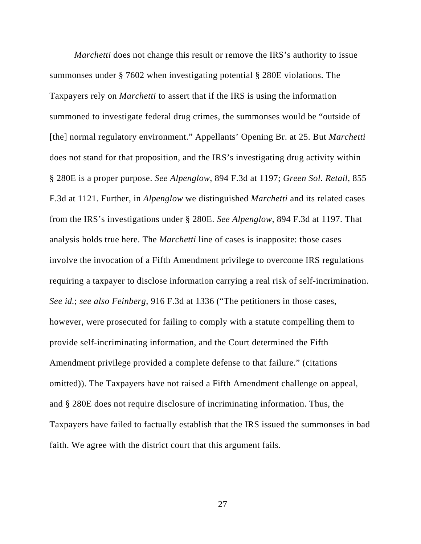*Marchetti* does not change this result or remove the IRS's authority to issue summonses under § 7602 when investigating potential § 280E violations. The Taxpayers rely on *Marchetti* to assert that if the IRS is using the information summoned to investigate federal drug crimes, the summonses would be "outside of [the] normal regulatory environment." Appellants' Opening Br. at 25. But *Marchetti* does not stand for that proposition, and the IRS's investigating drug activity within § 280E is a proper purpose. *See Alpenglow*, 894 F.3d at 1197; *Green Sol. Retail*, 855 F.3d at 1121. Further, in *Alpenglow* we distinguished *Marchetti* and its related cases from the IRS's investigations under § 280E. *See Alpenglow*, 894 F.3d at 1197. That analysis holds true here. The *Marchetti* line of cases is inapposite: those cases involve the invocation of a Fifth Amendment privilege to overcome IRS regulations requiring a taxpayer to disclose information carrying a real risk of self-incrimination. *See id.*; *see also Feinberg*, 916 F.3d at 1336 ("The petitioners in those cases, however, were prosecuted for failing to comply with a statute compelling them to provide self-incriminating information, and the Court determined the Fifth Amendment privilege provided a complete defense to that failure." (citations omitted)). The Taxpayers have not raised a Fifth Amendment challenge on appeal, and § 280E does not require disclosure of incriminating information. Thus, the Taxpayers have failed to factually establish that the IRS issued the summonses in bad faith. We agree with the district court that this argument fails.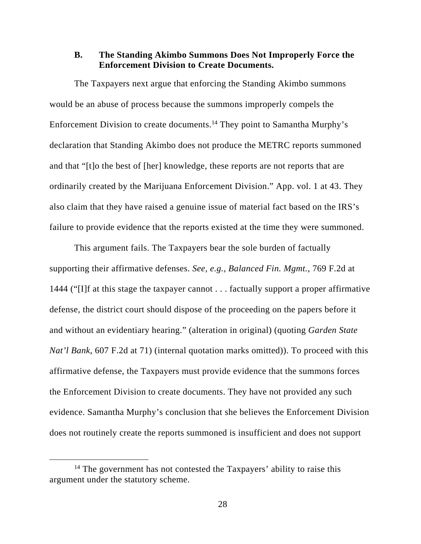## **B. The Standing Akimbo Summons Does Not Improperly Force the Enforcement Division to Create Documents.**

The Taxpayers next argue that enforcing the Standing Akimbo summons would be an abuse of process because the summons improperly compels the Enforcement Division to create documents.14 They point to Samantha Murphy's declaration that Standing Akimbo does not produce the METRC reports summoned and that "[t]o the best of [her] knowledge, these reports are not reports that are ordinarily created by the Marijuana Enforcement Division." App. vol. 1 at 43. They also claim that they have raised a genuine issue of material fact based on the IRS's failure to provide evidence that the reports existed at the time they were summoned.

This argument fails. The Taxpayers bear the sole burden of factually supporting their affirmative defenses. *See, e.g.*, *Balanced Fin. Mgmt.*, 769 F.2d at 1444 ("[I]f at this stage the taxpayer cannot . . . factually support a proper affirmative defense, the district court should dispose of the proceeding on the papers before it and without an evidentiary hearing." (alteration in original) (quoting *Garden State Nat'l Bank*, 607 F.2d at 71) (internal quotation marks omitted)). To proceed with this affirmative defense, the Taxpayers must provide evidence that the summons forces the Enforcement Division to create documents. They have not provided any such evidence. Samantha Murphy's conclusion that she believes the Enforcement Division does not routinely create the reports summoned is insufficient and does not support

<sup>&</sup>lt;sup>14</sup> The government has not contested the Taxpayers' ability to raise this argument under the statutory scheme.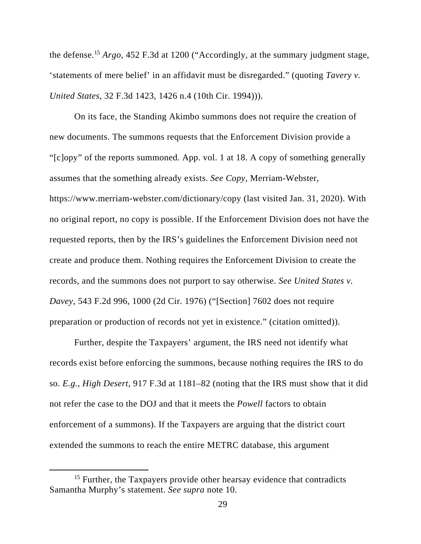the defense.15 *Argo*, 452 F.3d at 1200 ("Accordingly, at the summary judgment stage, 'statements of mere belief' in an affidavit must be disregarded." (quoting *Tavery v. United States*, 32 F.3d 1423, 1426 n.4 (10th Cir. 1994))).

On its face, the Standing Akimbo summons does not require the creation of new documents. The summons requests that the Enforcement Division provide a "[c]opy" of the reports summoned. App. vol. 1 at 18. A copy of something generally assumes that the something already exists. *See Copy*, Merriam-Webster, https://www.merriam-webster.com/dictionary/copy (last visited Jan. 31, 2020). With no original report, no copy is possible. If the Enforcement Division does not have the requested reports, then by the IRS's guidelines the Enforcement Division need not create and produce them. Nothing requires the Enforcement Division to create the records, and the summons does not purport to say otherwise. *See United States v. Davey*, 543 F.2d 996, 1000 (2d Cir. 1976) ("[Section] 7602 does not require preparation or production of records not yet in existence." (citation omitted)).

Further, despite the Taxpayers' argument, the IRS need not identify what records exist before enforcing the summons, because nothing requires the IRS to do so. *E.g.*, *High Desert*, 917 F.3d at 1181–82 (noting that the IRS must show that it did not refer the case to the DOJ and that it meets the *Powell* factors to obtain enforcement of a summons). If the Taxpayers are arguing that the district court extended the summons to reach the entire METRC database, this argument

<sup>&</sup>lt;sup>15</sup> Further, the Taxpayers provide other hearsay evidence that contradicts Samantha Murphy's statement. *See supra* note 10.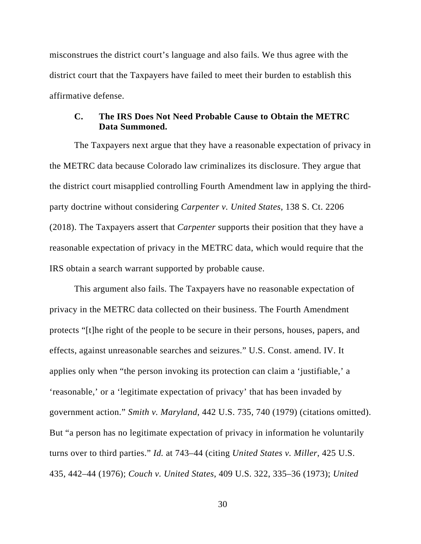misconstrues the district court's language and also fails. We thus agree with the district court that the Taxpayers have failed to meet their burden to establish this affirmative defense.

## **C. The IRS Does Not Need Probable Cause to Obtain the METRC Data Summoned.**

The Taxpayers next argue that they have a reasonable expectation of privacy in the METRC data because Colorado law criminalizes its disclosure. They argue that the district court misapplied controlling Fourth Amendment law in applying the thirdparty doctrine without considering *Carpenter v. United States*, 138 S. Ct. 2206 (2018). The Taxpayers assert that *Carpenter* supports their position that they have a reasonable expectation of privacy in the METRC data, which would require that the IRS obtain a search warrant supported by probable cause.

This argument also fails. The Taxpayers have no reasonable expectation of privacy in the METRC data collected on their business. The Fourth Amendment protects "[t]he right of the people to be secure in their persons, houses, papers, and effects, against unreasonable searches and seizures." U.S. Const. amend. IV. It applies only when "the person invoking its protection can claim a 'justifiable,' a 'reasonable,' or a 'legitimate expectation of privacy' that has been invaded by government action." *Smith v. Maryland*, 442 U.S. 735, 740 (1979) (citations omitted). But "a person has no legitimate expectation of privacy in information he voluntarily turns over to third parties." *Id.* at 743–44 (citing *United States v. Miller*, 425 U.S. 435, 442–44 (1976); *Couch v. United States*, 409 U.S. 322, 335–36 (1973); *United*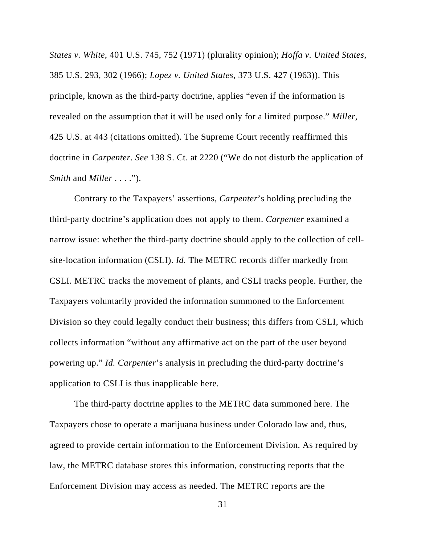*States v. White*, 401 U.S. 745, 752 (1971) (plurality opinion); *Hoffa v. United States*, 385 U.S. 293, 302 (1966); *Lopez v. United States*, 373 U.S. 427 (1963)). This principle, known as the third-party doctrine, applies "even if the information is revealed on the assumption that it will be used only for a limited purpose." *Miller*, 425 U.S. at 443 (citations omitted). The Supreme Court recently reaffirmed this doctrine in *Carpenter*. *See* 138 S. Ct. at 2220 ("We do not disturb the application of *Smith* and *Miller* . . . .").

Contrary to the Taxpayers' assertions, *Carpenter*'s holding precluding the third-party doctrine's application does not apply to them. *Carpenter* examined a narrow issue: whether the third-party doctrine should apply to the collection of cellsite-location information (CSLI). *Id.* The METRC records differ markedly from CSLI. METRC tracks the movement of plants, and CSLI tracks people. Further, the Taxpayers voluntarily provided the information summoned to the Enforcement Division so they could legally conduct their business; this differs from CSLI, which collects information "without any affirmative act on the part of the user beyond powering up." *Id. Carpenter*'s analysis in precluding the third-party doctrine's application to CSLI is thus inapplicable here.

The third-party doctrine applies to the METRC data summoned here. The Taxpayers chose to operate a marijuana business under Colorado law and, thus, agreed to provide certain information to the Enforcement Division. As required by law, the METRC database stores this information, constructing reports that the Enforcement Division may access as needed. The METRC reports are the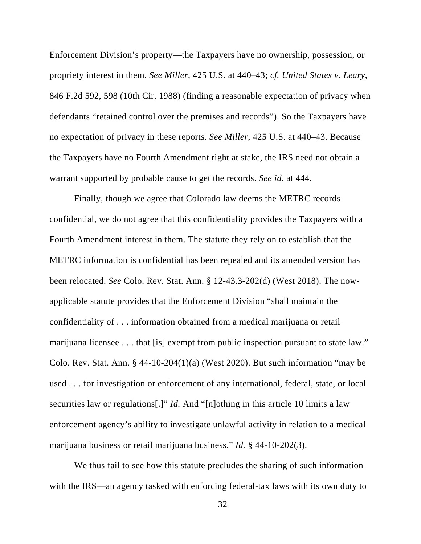Enforcement Division's property—the Taxpayers have no ownership, possession, or propriety interest in them. *See Miller*, 425 U.S. at 440–43; *cf. United States v. Leary*, 846 F.2d 592, 598 (10th Cir. 1988) (finding a reasonable expectation of privacy when defendants "retained control over the premises and records"). So the Taxpayers have no expectation of privacy in these reports. *See Miller*, 425 U.S. at 440–43. Because the Taxpayers have no Fourth Amendment right at stake, the IRS need not obtain a warrant supported by probable cause to get the records. *See id.* at 444.

Finally, though we agree that Colorado law deems the METRC records confidential, we do not agree that this confidentiality provides the Taxpayers with a Fourth Amendment interest in them. The statute they rely on to establish that the METRC information is confidential has been repealed and its amended version has been relocated. *See* Colo. Rev. Stat. Ann. § 12-43.3-202(d) (West 2018). The nowapplicable statute provides that the Enforcement Division "shall maintain the confidentiality of . . . information obtained from a medical marijuana or retail marijuana licensee . . . that [is] exempt from public inspection pursuant to state law." Colo. Rev. Stat. Ann.  $\S$  44-10-204(1)(a) (West 2020). But such information "may be used . . . for investigation or enforcement of any international, federal, state, or local securities law or regulations[.]" *Id.* And "[n]othing in this article 10 limits a law enforcement agency's ability to investigate unlawful activity in relation to a medical marijuana business or retail marijuana business." *Id.* § 44-10-202(3).

We thus fail to see how this statute precludes the sharing of such information with the IRS—an agency tasked with enforcing federal-tax laws with its own duty to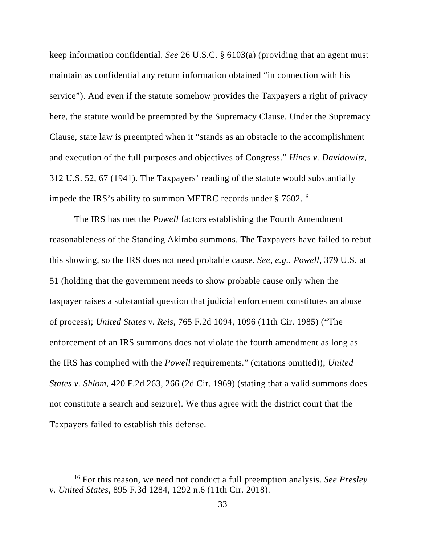keep information confidential. *See* 26 U.S.C. § 6103(a) (providing that an agent must maintain as confidential any return information obtained "in connection with his service"). And even if the statute somehow provides the Taxpayers a right of privacy here, the statute would be preempted by the Supremacy Clause. Under the Supremacy Clause, state law is preempted when it "stands as an obstacle to the accomplishment and execution of the full purposes and objectives of Congress." *Hines v. Davidowitz*, 312 U.S. 52, 67 (1941). The Taxpayers' reading of the statute would substantially impede the IRS's ability to summon METRC records under § 7602.<sup>16</sup>

The IRS has met the *Powell* factors establishing the Fourth Amendment reasonableness of the Standing Akimbo summons. The Taxpayers have failed to rebut this showing, so the IRS does not need probable cause. *See, e.g.*, *Powell*, 379 U.S. at 51 (holding that the government needs to show probable cause only when the taxpayer raises a substantial question that judicial enforcement constitutes an abuse of process); *United States v. Reis*, 765 F.2d 1094, 1096 (11th Cir. 1985) ("The enforcement of an IRS summons does not violate the fourth amendment as long as the IRS has complied with the *Powell* requirements." (citations omitted)); *United States v. Shlom*, 420 F.2d 263, 266 (2d Cir. 1969) (stating that a valid summons does not constitute a search and seizure). We thus agree with the district court that the Taxpayers failed to establish this defense.

 <sup>16</sup> For this reason, we need not conduct a full preemption analysis. *See Presley v. United States*, 895 F.3d 1284, 1292 n.6 (11th Cir. 2018).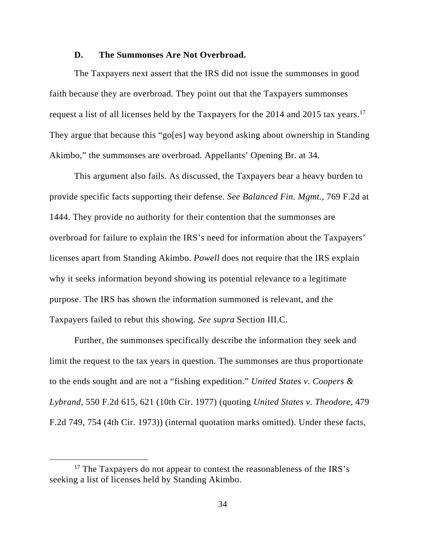#### **D. The Summonses Are Not Overbroad.**

The Taxpayers next assert that the IRS did not issue the summonses in good faith because they are overbroad. They point out that the Taxpayers summonses request a list of all licenses held by the Taxpayers for the 2014 and 2015 tax years.17 They argue that because this "go[es] way beyond asking about ownership in Standing Akimbo," the summonses are overbroad. Appellants' Opening Br. at 34.

This argument also fails. As discussed, the Taxpayers bear a heavy burden to provide specific facts supporting their defense. *See Balanced Fin. Mgmt.*, 769 F.2d at 1444. They provide no authority for their contention that the summonses are overbroad for failure to explain the IRS's need for information about the Taxpayers' licenses apart from Standing Akimbo. *Powell* does not require that the IRS explain why it seeks information beyond showing its potential relevance to a legitimate purpose. The IRS has shown the information summoned is relevant, and the Taxpayers failed to rebut this showing. *See supra* Section III.C.

Further, the summonses specifically describe the information they seek and limit the request to the tax years in question. The summonses are thus proportionate to the ends sought and are not a "fishing expedition." *United States v. Coopers & Lybrand*, 550 F.2d 615, 621 (10th Cir. 1977) (quoting *United States v. Theodore*, 479 F.2d 749, 754 (4th Cir. 1973)) (internal quotation marks omitted). Under these facts,

 $17$  The Taxpayers do not appear to contest the reasonableness of the IRS's seeking a list of licenses held by Standing Akimbo.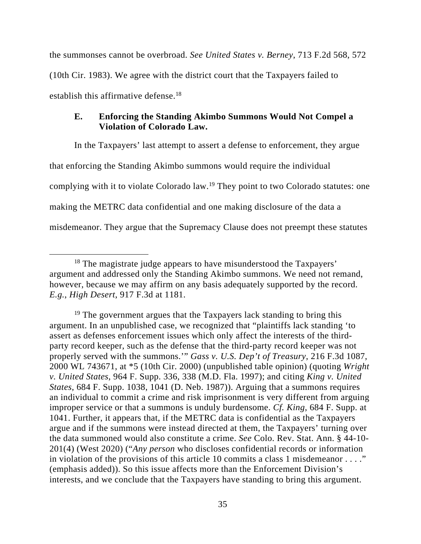the summonses cannot be overbroad. *See United States v. Berney*, 713 F.2d 568, 572 (10th Cir. 1983). We agree with the district court that the Taxpayers failed to establish this affirmative defense.<sup>18</sup>

## **E. Enforcing the Standing Akimbo Summons Would Not Compel a Violation of Colorado Law.**

In the Taxpayers' last attempt to assert a defense to enforcement, they argue that enforcing the Standing Akimbo summons would require the individual complying with it to violate Colorado law.19 They point to two Colorado statutes: one making the METRC data confidential and one making disclosure of the data a misdemeanor. They argue that the Supremacy Clause does not preempt these statutes

<sup>&</sup>lt;sup>18</sup> The magistrate judge appears to have misunderstood the Taxpayers' argument and addressed only the Standing Akimbo summons. We need not remand, however, because we may affirm on any basis adequately supported by the record. *E.g.*, *High Desert*, 917 F.3d at 1181.

 $19$  The government argues that the Taxpayers lack standing to bring this argument. In an unpublished case, we recognized that "plaintiffs lack standing 'to assert as defenses enforcement issues which only affect the interests of the thirdparty record keeper, such as the defense that the third-party record keeper was not properly served with the summons.'" *Gass v. U.S. Dep't of Treasury*, 216 F.3d 1087, 2000 WL 743671, at \*5 (10th Cir. 2000) (unpublished table opinion) (quoting *Wright v. United States*, 964 F. Supp. 336, 338 (M.D. Fla. 1997); and citing *King v. United States*, 684 F. Supp. 1038, 1041 (D. Neb. 1987)). Arguing that a summons requires an individual to commit a crime and risk imprisonment is very different from arguing improper service or that a summons is unduly burdensome. *Cf. King*, 684 F. Supp. at 1041. Further, it appears that, if the METRC data is confidential as the Taxpayers argue and if the summons were instead directed at them, the Taxpayers' turning over the data summoned would also constitute a crime. *See* Colo. Rev. Stat. Ann. § 44-10- 201(4) (West 2020) ("*Any person* who discloses confidential records or information in violation of the provisions of this article 10 commits a class 1 misdemeanor . . . ." (emphasis added)). So this issue affects more than the Enforcement Division's interests, and we conclude that the Taxpayers have standing to bring this argument.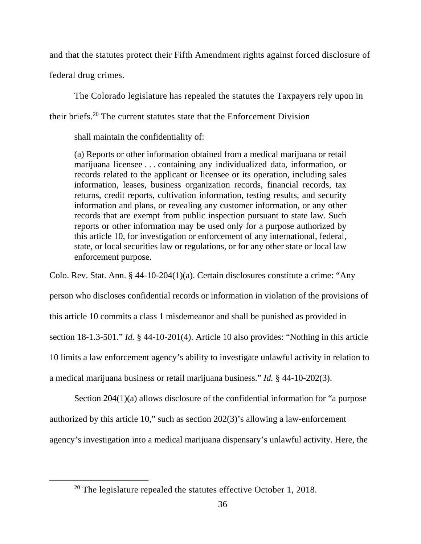and that the statutes protect their Fifth Amendment rights against forced disclosure of

federal drug crimes.

The Colorado legislature has repealed the statutes the Taxpayers rely upon in their briefs.20 The current statutes state that the Enforcement Division

shall maintain the confidentiality of:

(a) Reports or other information obtained from a medical marijuana or retail marijuana licensee . . . containing any individualized data, information, or records related to the applicant or licensee or its operation, including sales information, leases, business organization records, financial records, tax returns, credit reports, cultivation information, testing results, and security information and plans, or revealing any customer information, or any other records that are exempt from public inspection pursuant to state law. Such reports or other information may be used only for a purpose authorized by this article 10, for investigation or enforcement of any international, federal, state, or local securities law or regulations, or for any other state or local law enforcement purpose.

Colo. Rev. Stat. Ann. § 44-10-204(1)(a). Certain disclosures constitute a crime: "Any

person who discloses confidential records or information in violation of the provisions of

this article 10 commits a class 1 misdemeanor and shall be punished as provided in

section 18-1.3-501." *Id.* § 44-10-201(4). Article 10 also provides: "Nothing in this article

10 limits a law enforcement agency's ability to investigate unlawful activity in relation to

a medical marijuana business or retail marijuana business." *Id.* § 44-10-202(3).

Section 204(1)(a) allows disclosure of the confidential information for "a purpose authorized by this article 10," such as section 202(3)'s allowing a law-enforcement agency's investigation into a medical marijuana dispensary's unlawful activity. Here, the

 $20$  The legislature repealed the statutes effective October 1, 2018.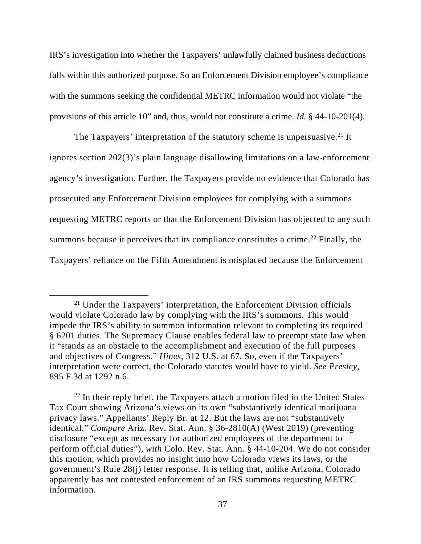IRS's investigation into whether the Taxpayers' unlawfully claimed business deductions falls within this authorized purpose. So an Enforcement Division employee's compliance with the summons seeking the confidential METRC information would not violate "the provisions of this article 10" and, thus, would not constitute a crime. *Id.* § 44-10-201(4).

The Taxpayers' interpretation of the statutory scheme is unpersuasive.<sup>21</sup> It ignores section 202(3)'s plain language disallowing limitations on a law-enforcement agency's investigation. Further, the Taxpayers provide no evidence that Colorado has prosecuted any Enforcement Division employees for complying with a summons requesting METRC reports or that the Enforcement Division has objected to any such summons because it perceives that its compliance constitutes a crime.<sup>22</sup> Finally, the Taxpayers' reliance on the Fifth Amendment is misplaced because the Enforcement

 <sup>21</sup> Under the Taxpayers' interpretation, the Enforcement Division officials would violate Colorado law by complying with the IRS's summons. This would impede the IRS's ability to summon information relevant to completing its required § 6201 duties. The Supremacy Clause enables federal law to preempt state law when it "stands as an obstacle to the accomplishment and execution of the full purposes and objectives of Congress." *Hines*, 312 U.S. at 67. So, even if the Taxpayers' interpretation were correct, the Colorado statutes would have to yield. *See Presley*, 895 F.3d at 1292 n.6.

 $22$  In their reply brief, the Taxpayers attach a motion filed in the United States Tax Court showing Arizona's views on its own "substantively identical marijuana privacy laws." Appellants' Reply Br. at 12. But the laws are not "substantively identical." *Compare* Ariz. Rev. Stat. Ann. § 36-2810(A) (West 2019) (preventing disclosure "except as necessary for authorized employees of the department to perform official duties"), *with* Colo. Rev. Stat. Ann. § 44-10-204. We do not consider this motion, which provides no insight into how Colorado views its laws, or the government's Rule 28(j) letter response. It is telling that, unlike Arizona, Colorado apparently has not contested enforcement of an IRS summons requesting METRC information.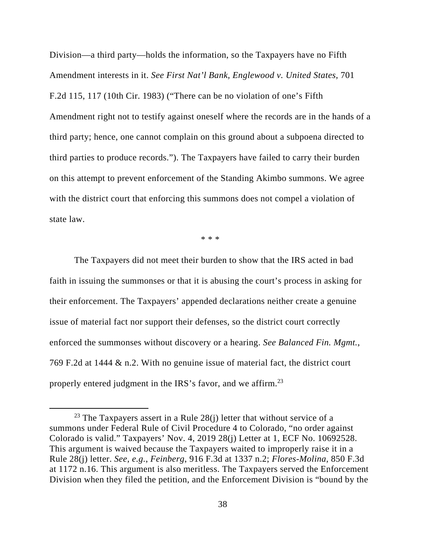Division—a third party—holds the information, so the Taxpayers have no Fifth Amendment interests in it. *See First Nat'l Bank, Englewood v. United States*, 701 F.2d 115, 117 (10th Cir. 1983) ("There can be no violation of one's Fifth Amendment right not to testify against oneself where the records are in the hands of a third party; hence, one cannot complain on this ground about a subpoena directed to third parties to produce records."). The Taxpayers have failed to carry their burden on this attempt to prevent enforcement of the Standing Akimbo summons. We agree with the district court that enforcing this summons does not compel a violation of state law.

\* \* \*

The Taxpayers did not meet their burden to show that the IRS acted in bad faith in issuing the summonses or that it is abusing the court's process in asking for their enforcement. The Taxpayers' appended declarations neither create a genuine issue of material fact nor support their defenses, so the district court correctly enforced the summonses without discovery or a hearing. *See Balanced Fin. Mgmt.*, 769 F.2d at 1444 & n.2. With no genuine issue of material fact, the district court properly entered judgment in the IRS's favor, and we affirm.23

 $23$  The Taxpayers assert in a Rule 28(j) letter that without service of a summons under Federal Rule of Civil Procedure 4 to Colorado, "no order against Colorado is valid." Taxpayers' Nov. 4, 2019 28(j) Letter at 1, ECF No. 10692528. This argument is waived because the Taxpayers waited to improperly raise it in a Rule 28(j) letter. *See, e.g.*, *Feinberg*, 916 F.3d at 1337 n.2; *Flores-Molina*, 850 F.3d at 1172 n.16. This argument is also meritless. The Taxpayers served the Enforcement Division when they filed the petition, and the Enforcement Division is "bound by the